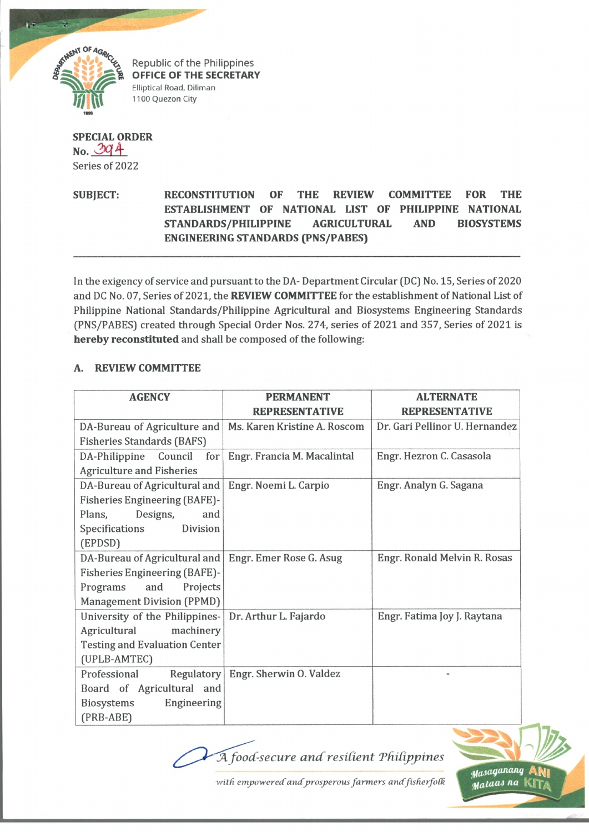

Republic of the Philippines **OFFICE OF THE SECRETARY** Elliptical Road, Diliman 1100 Quezon City

## **SPECIAL ORDER**  $No. 394$ Series of 2022

**SUBJECT: RECONSTITUTION OF THE REVIEW COMMITTEE FOR THE ESTABLISHMENT OF NATIONAL LIST OF PHILIPPINE NATIONAL STANDARDS/PHILIPPINE AGRICULTURAL AND BIOSYSTEMS ENGINEERING STANDARDS (PNS/PABES)**

In the exigency of service and pursuant to the DA- Department Circular (DC) No. 15, Series of 2020 and DC No. 07, Series of 2021, the **REVIEW COMMITTEE** for the establishment of National List of Philippine National Standards/Philippine Agricultural and Biosystems Engineering Standards (PNS/PABES) created through Special Order Nos. 274, series of 2021 and 357, Series of 2021 is **hereby reconstituted** and shall be composed of the following:

## **A. REVIEW COMMITTEE**

| <b>AGENCY</b>                        | <b>PERMANENT</b>             | <b>ALTERNATE</b>               |
|--------------------------------------|------------------------------|--------------------------------|
|                                      | <b>REPRESENTATIVE</b>        | <b>REPRESENTATIVE</b>          |
| DA-Bureau of Agriculture and         | Ms. Karen Kristine A. Roscom | Dr. Gari Pellinor U. Hernandez |
| <b>Fisheries Standards (BAFS)</b>    |                              |                                |
| DA-Philippine Council<br>for         | Engr. Francia M. Macalintal  | Engr. Hezron C. Casasola       |
| <b>Agriculture and Fisheries</b>     |                              |                                |
| DA-Bureau of Agricultural and        | Engr. Noemi L. Carpio        | Engr. Analyn G. Sagana         |
| <b>Fisheries Engineering (BAFE)-</b> |                              |                                |
| Designs,<br>Plans,<br>and            |                              |                                |
| Division<br>Specifications           |                              |                                |
| (EPDSD)                              |                              |                                |
| DA-Bureau of Agricultural and        | Engr. Emer Rose G. Asug      | Engr. Ronald Melvin R. Rosas   |
| <b>Fisheries Engineering (BAFE)-</b> |                              |                                |
| Programs<br>and<br>Projects          |                              |                                |
| <b>Management Division (PPMD)</b>    |                              |                                |
| University of the Philippines-       | Dr. Arthur L. Fajardo        | Engr. Fatima Joy J. Raytana    |
| Agricultural<br>machinery            |                              |                                |
| <b>Testing and Evaluation Center</b> |                              |                                |
| (UPLB-AMTEC)                         |                              |                                |
| Professional<br>Regulatory           | Engr. Sherwin O. Valdez      |                                |
| Board of Agricultural and            |                              |                                |
| Engineering<br>Biosystems            |                              |                                |
| (PRB-ABE)                            |                              |                                |

 $\mathcal A$  food-secure and resilient Philippines



with empowered and prosperous farmers and fisherfolk